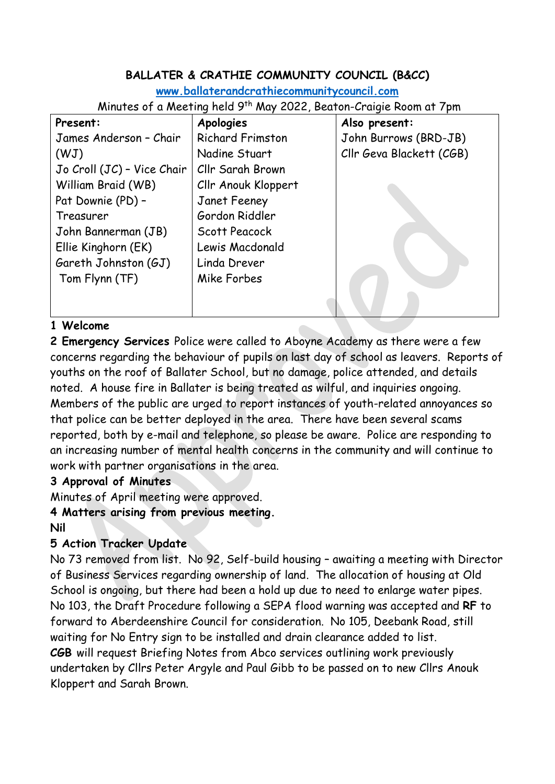# **BALLATER & CRATHIE COMMUNITY COUNCIL (B&CC)**

**[www.ballaterandcrathiecommunitycouncil.com](http://www.ballaterandcrathiecommunitycouncil.com/)**

Minutes of a Meeting held 9<sup>th</sup> May 2022, Beaton-Craigie Room at 7pm

| Present:                   | <b>Apologies</b>        | Also present:            |
|----------------------------|-------------------------|--------------------------|
| James Anderson - Chair     | <b>Richard Frimston</b> | John Burrows (BRD-JB)    |
| (WJ)                       | Nadine Stuart           | Cllr Geva Blackett (CGB) |
| Jo Croll (JC) - Vice Chair | Cllr Sarah Brown        |                          |
| William Braid (WB)         | Cllr Anouk Kloppert     |                          |
| Pat Downie (PD) -          | Janet Feeney            |                          |
| Treasurer                  | Gordon Riddler          |                          |
| John Bannerman (JB)        | Scott Peacock           |                          |
| Ellie Kinghorn (EK)        | Lewis Macdonald         |                          |
| Gareth Johnston (GJ)       | Linda Drever            |                          |
| Tom Flynn (TF)             | Mike Forbes             |                          |
|                            |                         |                          |
|                            |                         |                          |

### **1 Welcome**

**2 Emergency Services** Police were called to Aboyne Academy as there were a few concerns regarding the behaviour of pupils on last day of school as leavers. Reports of youths on the roof of Ballater School, but no damage, police attended, and details noted. A house fire in Ballater is being treated as wilful, and inquiries ongoing. Members of the public are urged to report instances of youth-related annoyances so that police can be better deployed in the area. There have been several scams reported, both by e-mail and telephone, so please be aware. Police are responding to an increasing number of mental health concerns in the community and will continue to work with partner organisations in the area.

### **3 Approval of Minutes**

Minutes of April meeting were approved.

**4 Matters arising from previous meeting.**

**Nil**

# **5 Action Tracker Update**

No 73 removed from list. No 92, Self-build housing – awaiting a meeting with Director of Business Services regarding ownership of land. The allocation of housing at Old School is ongoing, but there had been a hold up due to need to enlarge water pipes. No 103, the Draft Procedure following a SEPA flood warning was accepted and **RF** to forward to Aberdeenshire Council for consideration. No 105, Deebank Road, still waiting for No Entry sign to be installed and drain clearance added to list. **CGB** will request Briefing Notes from Abco services outlining work previously undertaken by Cllrs Peter Argyle and Paul Gibb to be passed on to new Cllrs Anouk Kloppert and Sarah Brown.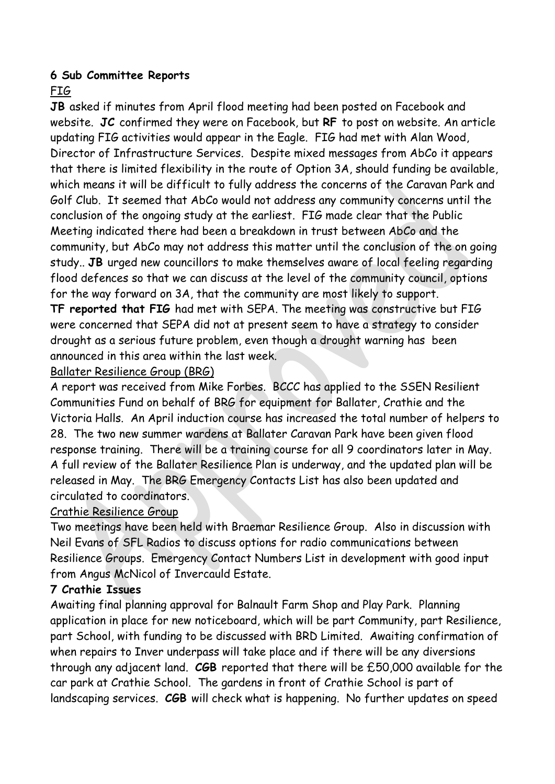### **6 Sub Committee Reports**

# FIG

**JB** asked if minutes from April flood meeting had been posted on Facebook and website. **JC** confirmed they were on Facebook, but **RF** to post on website. An article updating FIG activities would appear in the Eagle. FIG had met with Alan Wood, Director of Infrastructure Services. Despite mixed messages from AbCo it appears that there is limited flexibility in the route of Option 3A, should funding be available, which means it will be difficult to fully address the concerns of the Caravan Park and Golf Club. It seemed that AbCo would not address any community concerns until the conclusion of the ongoing study at the earliest. FIG made clear that the Public Meeting indicated there had been a breakdown in trust between AbCo and the community, but AbCo may not address this matter until the conclusion of the on going study.. **JB** urged new councillors to make themselves aware of local feeling regarding flood defences so that we can discuss at the level of the community council, options for the way forward on 3A, that the community are most likely to support. **TF reported that FIG** had met with SEPA. The meeting was constructive but FIG were concerned that SEPA did not at present seem to have a strategy to consider

# Ballater Resilience Group (BRG)

announced in this area within the last week.

A report was received from Mike Forbes. BCCC has applied to the SSEN Resilient Communities Fund on behalf of BRG for equipment for Ballater, Crathie and the Victoria Halls. An April induction course has increased the total number of helpers to 28. The two new summer wardens at Ballater Caravan Park have been given flood response training. There will be a training course for all 9 coordinators later in May. A full review of the Ballater Resilience Plan is underway, and the updated plan will be released in May. The BRG Emergency Contacts List has also been updated and circulated to coordinators.

drought as a serious future problem, even though a drought warning has been

# Crathie Resilience Group

Two meetings have been held with Braemar Resilience Group. Also in discussion with Neil Evans of SFL Radios to discuss options for radio communications between Resilience Groups. Emergency Contact Numbers List in development with good input from Angus McNicol of Invercauld Estate.

# **7 Crathie Issues**

Awaiting final planning approval for Balnault Farm Shop and Play Park. Planning application in place for new noticeboard, which will be part Community, part Resilience, part School, with funding to be discussed with BRD Limited. Awaiting confirmation of when repairs to Inver underpass will take place and if there will be any diversions through any adjacent land. **CGB** reported that there will be £50,000 available for the car park at Crathie School. The gardens in front of Crathie School is part of landscaping services. **CGB** will check what is happening. No further updates on speed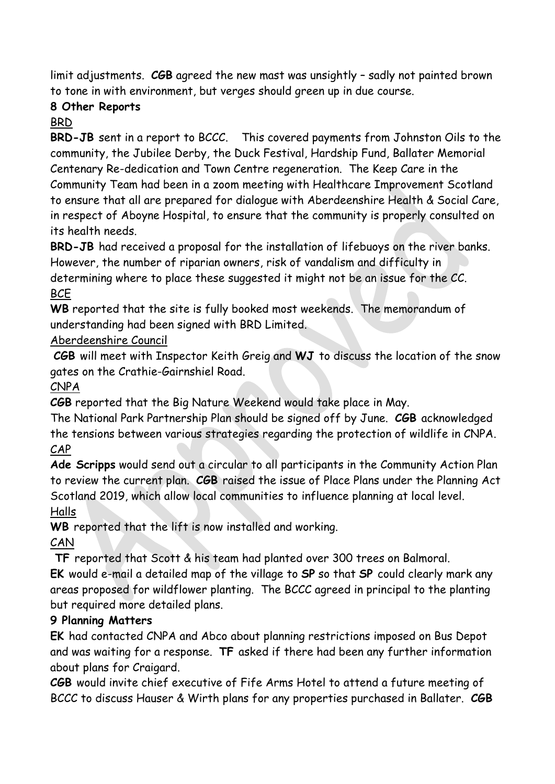limit adjustments. **CGB** agreed the new mast was unsightly – sadly not painted brown to tone in with environment, but verges should green up in due course.

# **8 Other Reports**

### BRD

**BRD-JB** sent in a report to BCCC. This covered payments from Johnston Oils to the community, the Jubilee Derby, the Duck Festival, Hardship Fund, Ballater Memorial Centenary Re-dedication and Town Centre regeneration. The Keep Care in the Community Team had been in a zoom meeting with Healthcare Improvement Scotland to ensure that all are prepared for dialogue with Aberdeenshire Health & Social Care, in respect of Aboyne Hospital, to ensure that the community is properly consulted on its health needs.

**BRD-JB** had received a proposal for the installation of lifebuoys on the river banks. However, the number of riparian owners, risk of vandalism and difficulty in

determining where to place these suggested it might not be an issue for the CC. **BCE** 

**WB** reported that the site is fully booked most weekends. The memorandum of understanding had been signed with BRD Limited.

## Aberdeenshire Council

**CGB** will meet with Inspector Keith Greig and **WJ** to discuss the location of the snow gates on the Crathie-Gairnshiel Road.

CNPA

**CGB** reported that the Big Nature Weekend would take place in May.

The National Park Partnership Plan should be signed off by June. **CGB** acknowledged the tensions between various strategies regarding the protection of wildlife in CNPA. CAP

**Ade Scripps** would send out a circular to all participants in the Community Action Plan to review the current plan. **CGB** raised the issue of Place Plans under the Planning Act Scotland 2019, which allow local communities to influence planning at local level. Halls

**WB** reported that the lift is now installed and working.

CAN

**TF** reported that Scott & his team had planted over 300 trees on Balmoral.

**EK** would e-mail a detailed map of the village to **SP** so that **SP** could clearly mark any areas proposed for wildflower planting. The BCCC agreed in principal to the planting but required more detailed plans.

# **9 Planning Matters**

**EK** had contacted CNPA and Abco about planning restrictions imposed on Bus Depot and was waiting for a response. **TF** asked if there had been any further information about plans for Craigard.

**CGB** would invite chief executive of Fife Arms Hotel to attend a future meeting of BCCC to discuss Hauser & Wirth plans for any properties purchased in Ballater. **CGB**